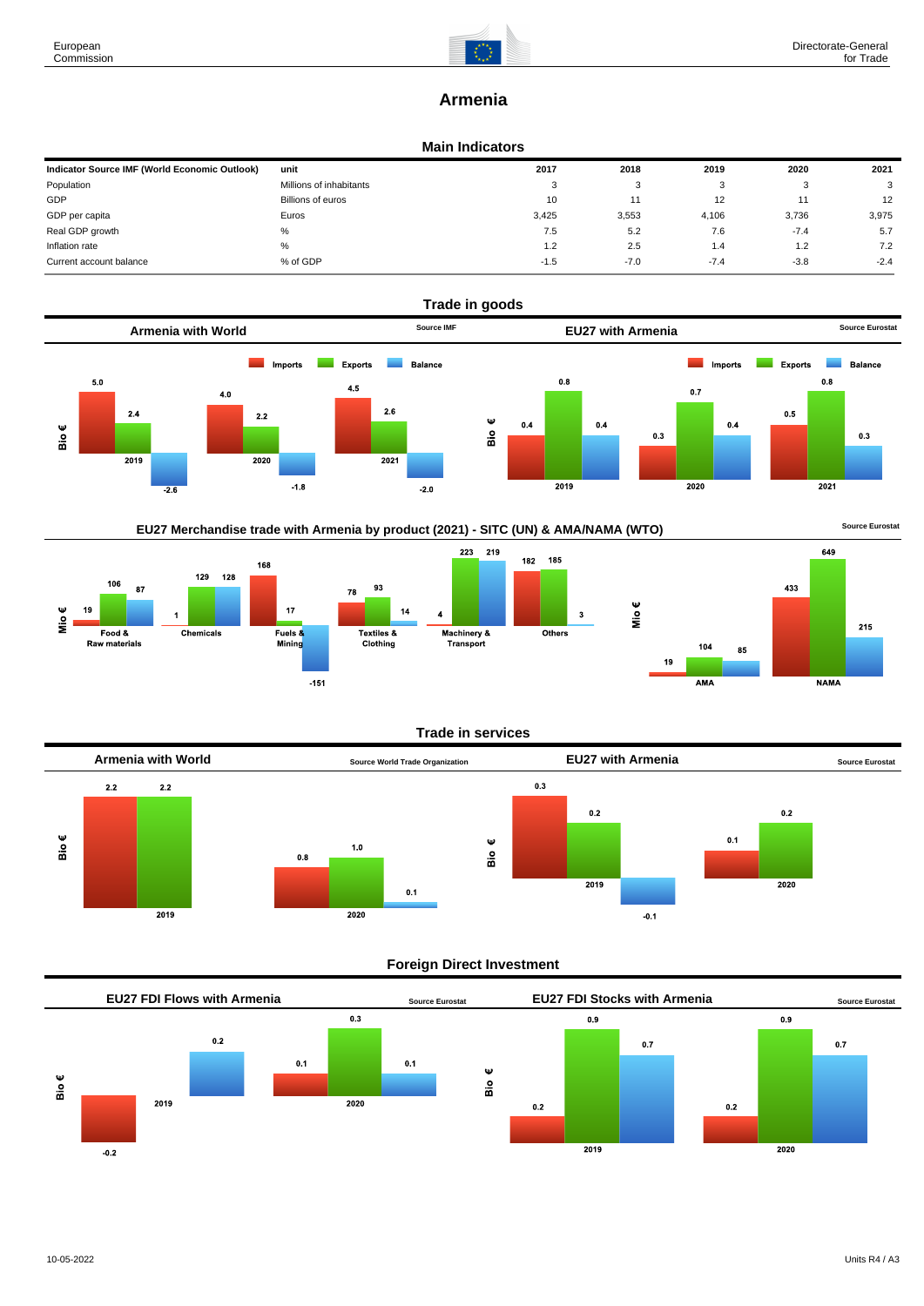

# **Armenia**

# **Main Indicators**

| Indicator Source IMF (World Economic Outlook) | unit                     | 2017   | 2018   | 2019   | 2020   | 2021   |
|-----------------------------------------------|--------------------------|--------|--------|--------|--------|--------|
| Population                                    | Millions of inhabitants  | 3      | ົ<br>ت |        | - 3    | 3      |
| GDP                                           | <b>Billions of euros</b> | 10     |        | 12     |        | 12     |
| GDP per capita                                | Euros                    | 3.425  | 3,553  | 4,106  | 3.736  | 3,975  |
| Real GDP growth                               | %                        | 7.5    | 5.2    | 7.6    | $-7.4$ | 5.7    |
| Inflation rate                                | %                        | 1.2    | 2.5    | 1.4    | 1.2    | 7.2    |
| Current account balance                       | % of GDP                 | $-1.5$ | $-7.0$ | $-7.4$ | $-3.8$ | $-2.4$ |



185

3

EU27 Merchandise trade with Armenia by product (2021) - SITC (UN) & AMA/NAMA (WTO) **Source Eurostat** 





# **Trade in services**



# **Foreign Direct Investment**